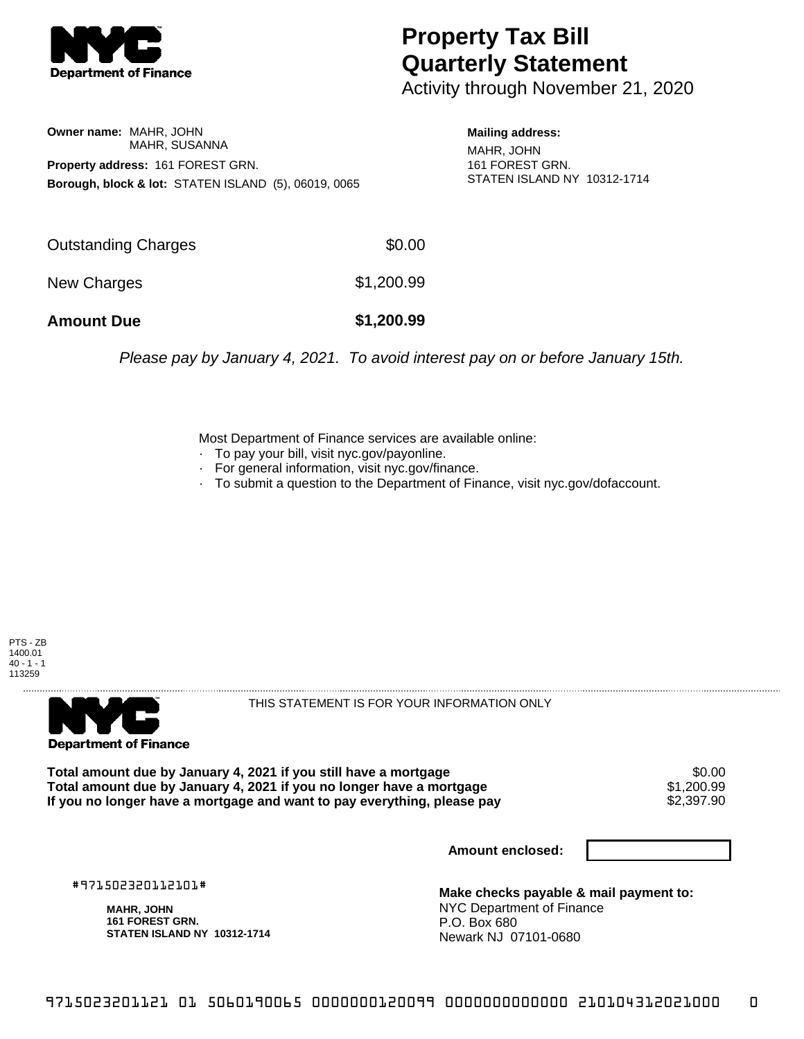

## **Property Tax Bill Quarterly Statement**

Activity through November 21, 2020

**Owner name:** MAHR, JOHN MAHR, SUSANNA **Property address:** 161 FOREST GRN. **Borough, block & lot:** STATEN ISLAND (5), 06019, 0065

**Mailing address:** MAHR, JOHN 161 FOREST GRN. STATEN ISLAND NY 10312-1714

| <b>Amount Due</b>   | \$1,200.99 |
|---------------------|------------|
| New Charges         | \$1,200.99 |
| Outstanding Charges | \$0.00     |

Please pay by January 4, 2021. To avoid interest pay on or before January 15th.

Most Department of Finance services are available online:

- · To pay your bill, visit nyc.gov/payonline.
- For general information, visit nyc.gov/finance.
- · To submit a question to the Department of Finance, visit nyc.gov/dofaccount.





THIS STATEMENT IS FOR YOUR INFORMATION ONLY

Total amount due by January 4, 2021 if you still have a mortgage \$0.00<br>Total amount due by January 4, 2021 if you no longer have a mortgage \$1.200.99 **Total amount due by January 4, 2021 if you no longer have a mortgage**  $$1,200.99$ **<br>If you no longer have a mortgage and want to pay everything, please pay**  $$2,397.90$ If you no longer have a mortgage and want to pay everything, please pay

**Amount enclosed:**

#971502320112101#

**MAHR, JOHN 161 FOREST GRN. STATEN ISLAND NY 10312-1714**

**Make checks payable & mail payment to:** NYC Department of Finance P.O. Box 680 Newark NJ 07101-0680